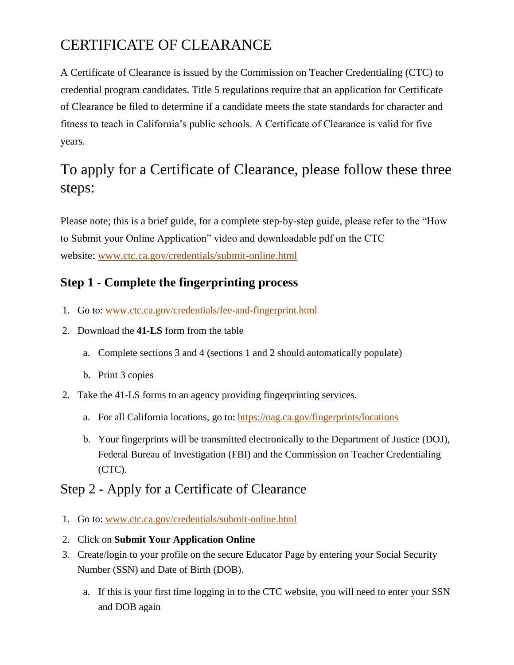# CERTIFICATE OF CLEARANCE

A Certificate of Clearance is issued by the Commission on Teacher Credentialing (CTC) to credential program candidates. Title 5 regulations require that an application for Certificate of Clearance be filed to determine if a candidate meets the state standards for character and fitness to teach in California's public schools. A Certificate of Clearance is valid for five years.

## To apply for a Certificate of Clearance, please follow these three steps:

Please note; this is a brief guide, for a complete step-by-step guide, please refer to the "How to Submit your Online Application" video and downloadable pdf on the CTC website: [www.ctc.ca.gov/credentials/submit-online.html](http://www.ctc.ca.gov/credentials/submit-online.html)

#### **Step 1 - Complete the fingerprinting process**

- 1. Go to: [www.ctc.ca.gov/credentials/fee-and-fingerprint.html](http://www.ctc.ca.gov/credentials/fee-and-fingerprint.html)
- 2. Download the **41-LS** form from the table
	- a. Complete sections 3 and 4 (sections 1 and 2 should automatically populate)
	- b. Print 3 copies
- 2. Take the 41-LS forms to an agency providing fingerprinting services.
	- a. For all California locations, go to: <https://oag.ca.gov/fingerprints/locations>
	- b. Your fingerprints will be transmitted electronically to the Department of Justice (DOJ), Federal Bureau of Investigation (FBI) and the Commission on Teacher Credentialing (CTC).

### Step 2 - Apply for a Certificate of Clearance

- 1. Go to: [www.ctc.ca.gov/credentials/submit-online.html](http://www.ctc.ca.gov/credentials/submit-online.html)
- 2. Click on **Submit Your Application Online**
- 3. Create/login to your profile on the secure Educator Page by entering your Social Security Number (SSN) and Date of Birth (DOB).
	- a. If this is your first time logging in to the CTC website, you will need to enter your SSN and DOB again